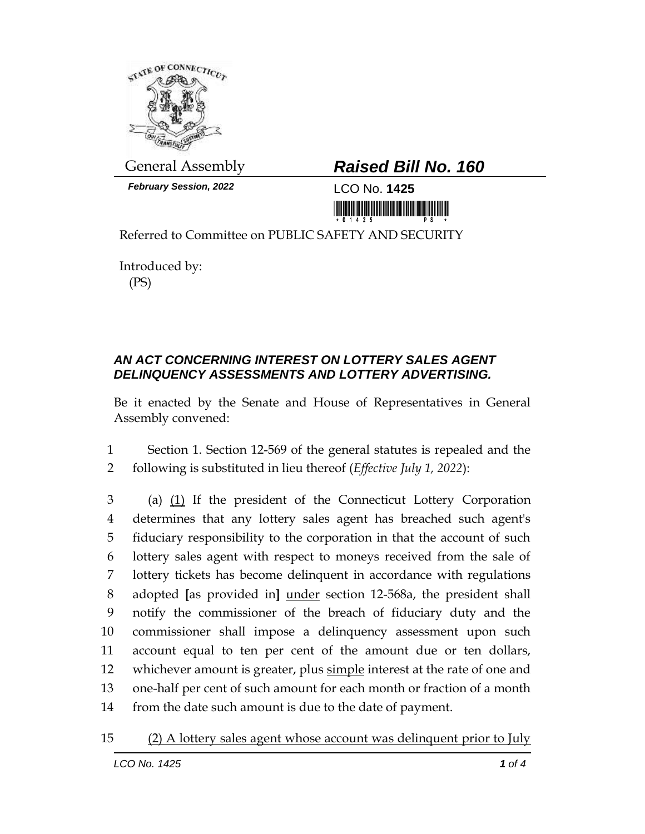

*February Session, 2022* LCO No. **1425**

## General Assembly *Raised Bill No. 160*

<u> 1999 - An Dùbhlachd Marwrig Marwr a 1999 - An Dùbhlachd Marwr a 1999 - An Dùbhlachd Marwr a 1999 - An Dùbhlach</u>

Referred to Committee on PUBLIC SAFETY AND SECURITY

Introduced by: (PS)

## *AN ACT CONCERNING INTEREST ON LOTTERY SALES AGENT DELINQUENCY ASSESSMENTS AND LOTTERY ADVERTISING.*

Be it enacted by the Senate and House of Representatives in General Assembly convened:

1 Section 1. Section 12-569 of the general statutes is repealed and the 2 following is substituted in lieu thereof (*Effective July 1, 2022*):

 (a) (1) If the president of the Connecticut Lottery Corporation determines that any lottery sales agent has breached such agent's fiduciary responsibility to the corporation in that the account of such lottery sales agent with respect to moneys received from the sale of lottery tickets has become delinquent in accordance with regulations adopted **[**as provided in**]** under section 12-568a, the president shall notify the commissioner of the breach of fiduciary duty and the commissioner shall impose a delinquency assessment upon such account equal to ten per cent of the amount due or ten dollars, 12 whichever amount is greater, plus simple interest at the rate of one and one-half per cent of such amount for each month or fraction of a month from the date such amount is due to the date of payment.

15 (2) A lottery sales agent whose account was delinquent prior to July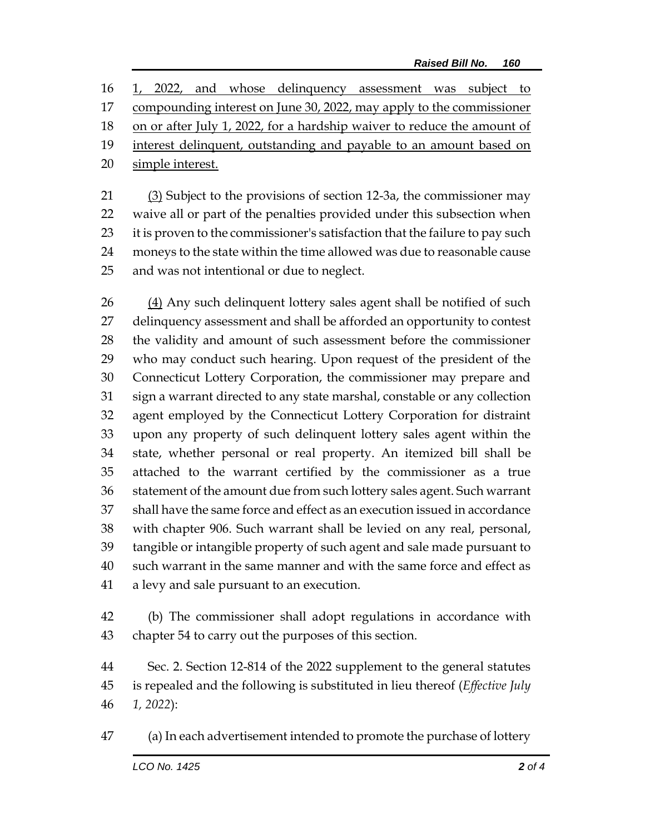1, 2022, and whose delinquency assessment was subject to compounding interest on June 30, 2022, may apply to the commissioner 18 on or after July 1, 2022, for a hardship waiver to reduce the amount of interest delinquent, outstanding and payable to an amount based on simple interest.

21 (3) Subject to the provisions of section 12-3a, the commissioner may waive all or part of the penalties provided under this subsection when 23 it is proven to the commissioner's satisfaction that the failure to pay such moneys to the state within the time allowed was due to reasonable cause and was not intentional or due to neglect.

26 (4) Any such delinquent lottery sales agent shall be notified of such delinquency assessment and shall be afforded an opportunity to contest the validity and amount of such assessment before the commissioner who may conduct such hearing. Upon request of the president of the Connecticut Lottery Corporation, the commissioner may prepare and sign a warrant directed to any state marshal, constable or any collection agent employed by the Connecticut Lottery Corporation for distraint upon any property of such delinquent lottery sales agent within the state, whether personal or real property. An itemized bill shall be attached to the warrant certified by the commissioner as a true statement of the amount due from such lottery sales agent. Such warrant shall have the same force and effect as an execution issued in accordance with chapter 906. Such warrant shall be levied on any real, personal, tangible or intangible property of such agent and sale made pursuant to such warrant in the same manner and with the same force and effect as a levy and sale pursuant to an execution.

 (b) The commissioner shall adopt regulations in accordance with chapter 54 to carry out the purposes of this section.

 Sec. 2. Section 12-814 of the 2022 supplement to the general statutes is repealed and the following is substituted in lieu thereof (*Effective July 1, 2022*):

(a) In each advertisement intended to promote the purchase of lottery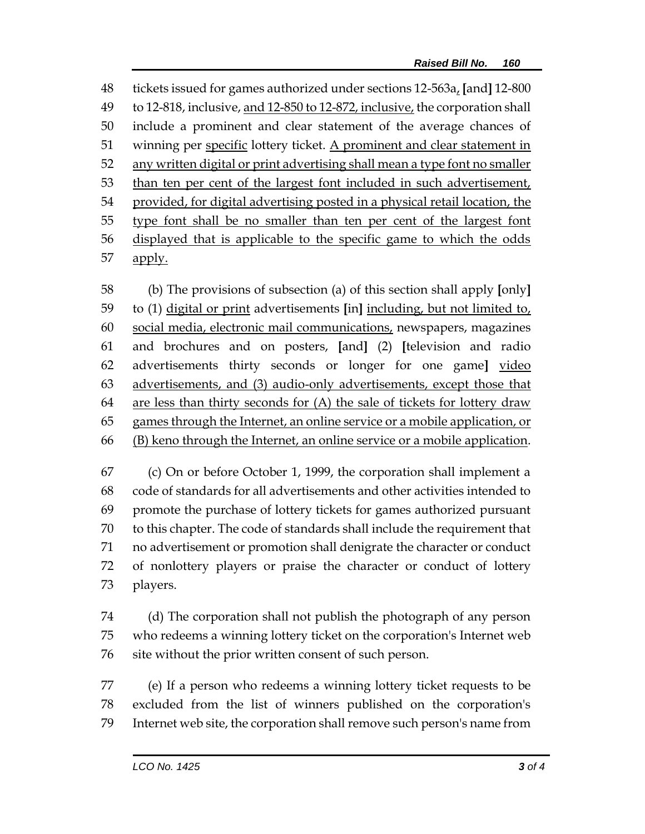tickets issued for games authorized under sections 12-563a, **[**and**]** 12-800 to 12-818, inclusive, and 12-850 to 12-872, inclusive, the corporation shall include a prominent and clear statement of the average chances of winning per specific lottery ticket. A prominent and clear statement in any written digital or print advertising shall mean a type font no smaller than ten per cent of the largest font included in such advertisement, 54 provided, for digital advertising posted in a physical retail location, the type font shall be no smaller than ten per cent of the largest font displayed that is applicable to the specific game to which the odds 57 apply.

 (b) The provisions of subsection (a) of this section shall apply **[**only**]** to (1) digital or print advertisements **[**in**]** including, but not limited to, social media, electronic mail communications, newspapers, magazines and brochures and on posters, **[**and**]** (2) **[**television and radio advertisements thirty seconds or longer for one game**]** video advertisements, and (3) audio-only advertisements, except those that are less than thirty seconds for (A) the sale of tickets for lottery draw games through the Internet, an online service or a mobile application, or (B) keno through the Internet, an online service or a mobile application.

 (c) On or before October 1, 1999, the corporation shall implement a code of standards for all advertisements and other activities intended to promote the purchase of lottery tickets for games authorized pursuant to this chapter. The code of standards shall include the requirement that no advertisement or promotion shall denigrate the character or conduct of nonlottery players or praise the character or conduct of lottery players.

 (d) The corporation shall not publish the photograph of any person who redeems a winning lottery ticket on the corporation's Internet web site without the prior written consent of such person.

 (e) If a person who redeems a winning lottery ticket requests to be excluded from the list of winners published on the corporation's Internet web site, the corporation shall remove such person's name from